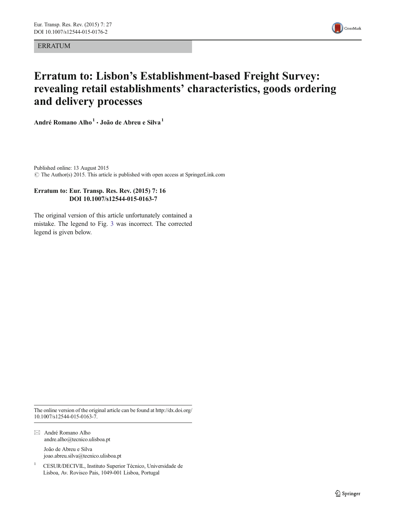**ERRATUM** 



## Erratum to: Lisbon's Establishment-based Freight Survey: revealing retail establishments' characteristics, goods ordering and delivery processes

André Romano Alho<sup>1</sup> · João de Abreu e Silva<sup>1</sup>

Published online: 13 August 2015  $\odot$  The Author(s) 2015. This article is published with open access at SpringerLink.com

## Erratum to: Eur. Transp. Res. Rev. (2015) 7: 16 DOI 10.1007/s12544-015-0163-7

The original version of this ar[tic](#page-1-0)le unfortunately contained a mistake. The legend to Fig. 3 was incorrect. The corrected legend is given below.

The online version of the original article can be found at [http://dx.doi.org/](http://dx.doi.org/10.1007/s12544-015-0163-7) [10.1007/s12544-015-0163-7.](http://dx.doi.org/10.1007/s12544-015-0163-7)

 $\boxtimes$  André Romano Alho andre.alho@tecnico.ulisboa.pt João de Abreu e Silva

joao.abreu.silva@tecnico.ulisboa.pt

<sup>1</sup> CESUR/DECIVIL, Instituto Superior Técnico, Universidade de Lisboa, Av. Rovisco Pais, 1049-001 Lisboa, Portugal